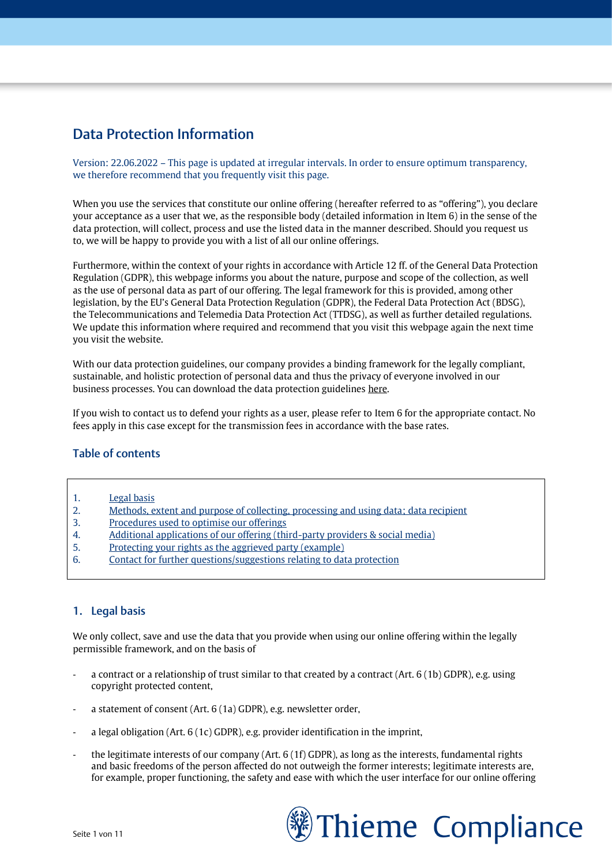# Data Protection Information

Version: 22.06.2022 – This page is updated at irregular intervals. In order to ensure optimum transparency, we therefore recommend that you frequently visit this page.

When you use the services that constitute our online offering (hereafter referred to as "offering"), you declare your acceptance as a user that we, as the responsible body (detailed information in Item 6) in the sense of the data protection, will collect, process and use the listed data in the manner described. Should you request us to, we will be happy to provide you with a list of all our online offerings.

Furthermore, within the context of your rights in accordance with Article 12 ff. of the General Data Protection Regulation (GDPR), this webpage informs you about the nature, purpose and scope of the collection, as well as the use of personal data as part of our offering. The legal framework for this is provided, among other legislation, by the EU's General Data Protection Regulation (GDPR), the Federal Data Protection Act (BDSG), the Telecommunications and Telemedia Data Protection Act (TTDSG), as well as further detailed regulations. We update this information where required and recommend that you visit this webpage again the next time you visit the website.

With our data protection guidelines, our company provides a binding framework for the legally compliant, sustainable, and holistic protection of personal data and thus the privacy of everyone involved in our business processes. You can download the data protection guidelines [here.](https://thieme-compliance.de/fileadmin/user_upload/Download/Datenschutz-Leitlinie_Thieme_Compliance.pdf)

If you wish to contact us to defend your rights as a user, please refer to Item 6 for the appropriate contact. No fees apply in this case except for the transmission fees in accordance with the base rates.

## Table of contents

- 1. [Legal basis](#page-0-0)
- 2. [Methods, extent and purpose of collecting, processing and using data;](#page-1-0) data recipient
- 3. [Procedures used to optimise our offerings](#page-4-0)
- 4. [Additional applications of our offering \(third-party providers](#page-6-0) & social media)
- 5. [Protecting your rights as the aggrieved party \(example\)](#page-8-0)
- 6. [Contact for further questions/suggestions relating to data protection](#page-10-0)

## <span id="page-0-0"></span>1. Legal basis

We only collect, save and use the data that you provide when using our online offering within the legally permissible framework, and on the basis of

- a contract or a relationship of trust similar to that created by a contract (Art. 6 (1b) GDPR), e.g. using copyright protected content,
- a statement of consent (Art. 6 (1a) GDPR), e.g. newsletter order,
- a legal obligation (Art.  $6(1c)$  GDPR), e.g. provider identification in the imprint,
- the legitimate interests of our company (Art.  $6(1f)$  GDPR), as long as the interests, fundamental rights and basic freedoms of the person affected do not outweigh the former interests; legitimate interests are, for example, proper functioning, the safety and ease with which the user interface for our online offering

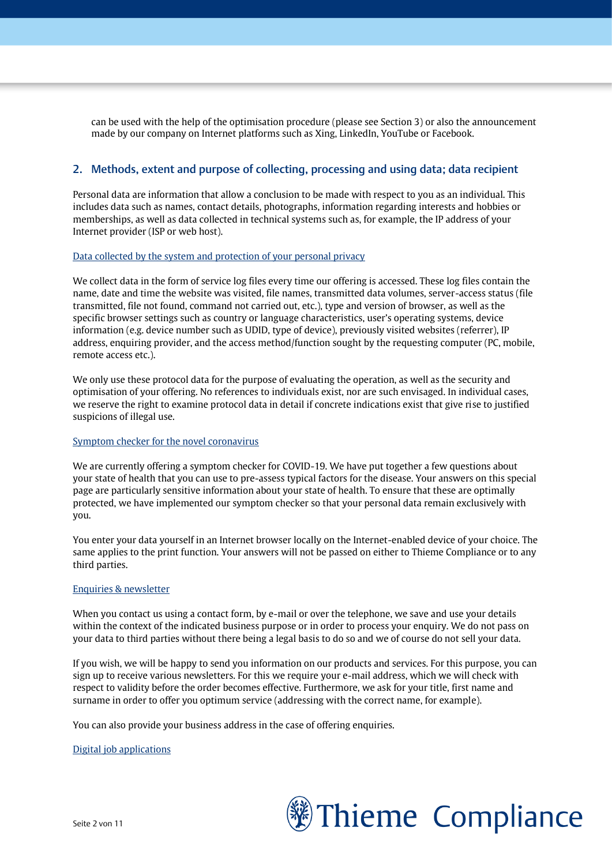can be used with the help of the optimisation procedure (please see Section 3) or also the announcement made by our company on Internet platforms such as Xing, LinkedIn, YouTube or Facebook.

## <span id="page-1-0"></span>2. Methods, extent and purpose of collecting, processing and using data; data recipient

Personal data are information that allow a conclusion to be made with respect to you as an individual. This includes data such as names, contact details, photographs, information regarding interests and hobbies or memberships, as well as data collected in technical systems such as, for example, the IP address of your Internet provider (ISP or web host).

#### Data collected by the system and protection of your personal privacy

We collect data in the form of service log files every time our offering is accessed. These log files contain the name, date and time the website was visited, file names, transmitted data volumes, server-access status (file transmitted, file not found, command not carried out, etc.), type and version of browser, as well as the specific browser settings such as country or language characteristics, user's operating systems, device information (e.g. device number such as UDID, type of device), previously visited websites (referrer), IP address, enquiring provider, and the access method/function sought by the requesting computer (PC, mobile, remote access etc.).

We only use these protocol data for the purpose of evaluating the operation, as well as the security and optimisation of your offering. No references to individuals exist, nor are such envisaged. In individual cases, we reserve the right to examine protocol data in detail if concrete indications exist that give rise to justified suspicions of illegal use.

## Symptom checker for the novel coronavirus

We are currently offering a symptom checker for COVID-19. We have put together a few questions about your state of health that you can use to pre-assess typical factors for the disease. Your answers on this special page are particularly sensitive information about your state of health. To ensure that these are optimally protected, we have implemented our symptom checker so that your personal data remain exclusively with you.

You enter your data yourself in an Internet browser locally on the Internet-enabled device of your choice. The same applies to the print function. Your answers will not be passed on either to Thieme Compliance or to any third parties.

#### Enquiries & newsletter

When you contact us using a contact form, by e-mail or over the telephone, we save and use your details within the context of the indicated business purpose or in order to process your enquiry. We do not pass on your data to third parties without there being a legal basis to do so and we of course do not sell your data.

If you wish, we will be happy to send you information on our products and services. For this purpose, you can sign up to receive various newsletters. For this we require your e-mail address, which we will check with respect to validity before the order becomes effective. Furthermore, we ask for your title, first name and surname in order to offer you optimum service (addressing with the correct name, for example).

You can also provide your business address in the case of offering enquiries.

#### Digital job applications

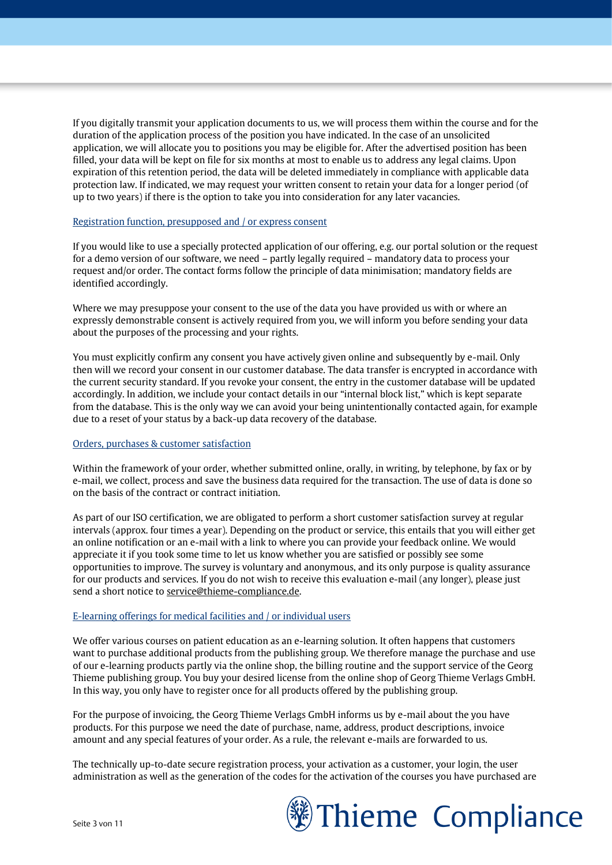If you digitally transmit your application documents to us, we will process them within the course and for the duration of the application process of the position you have indicated. In the case of an unsolicited application, we will allocate you to positions you may be eligible for. After the advertised position has been filled, your data will be kept on file for six months at most to enable us to address any legal claims. Upon expiration of this retention period, the data will be deleted immediately in compliance with applicable data protection law. If indicated, we may request your written consent to retain your data for a longer period (of up to two years) if there is the option to take you into consideration for any later vacancies.

### Registration function, presupposed and / or express consent

If you would like to use a specially protected application of our offering, e.g. our portal solution or the request for a demo version of our software, we need – partly legally required – mandatory data to process your request and/or order. The contact forms follow the principle of data minimisation; mandatory fields are identified accordingly.

Where we may presuppose your consent to the use of the data you have provided us with or where an expressly demonstrable consent is actively required from you, we will inform you before sending your data about the purposes of the processing and your rights.

You must explicitly confirm any consent you have actively given online and subsequently by e-mail. Only then will we record your consent in our customer database. The data transfer is encrypted in accordance with the current security standard. If you revoke your consent, the entry in the customer database will be updated accordingly. In addition, we include your contact details in our "internal block list," which is kept separate from the database. This is the only way we can avoid your being unintentionally contacted again, for example due to a reset of your status by a back-up data recovery of the database.

## Orders, purchases & customer satisfaction

Within the framework of your order, whether submitted online, orally, in writing, by telephone, by fax or by e-mail, we collect, process and save the business data required for the transaction. The use of data is done so on the basis of the contract or contract initiation.

As part of our ISO certification, we are obligated to perform a short customer satisfaction survey at regular intervals (approx. four times a year). Depending on the product or service, this entails that you will either get an online notification or an e-mail with a link to where you can provide your feedback online. We would appreciate it if you took some time to let us know whether you are satisfied or possibly see some opportunities to improve. The survey is voluntary and anonymous, and its only purpose is quality assurance for our products and services. If you do not wish to receive this evaluation e-mail (any longer), please just send a short notice to [service@thieme-compliance.de.](javascript:linkTo_UnCryptMailto()

## E-learning offerings for medical facilities and / or individual users

We offer various courses on patient education as an e-learning solution. It often happens that customers want to purchase additional products from the publishing group. We therefore manage the purchase and use of our e-learning products partly via the online shop, the billing routine and the support service of the Georg Thieme publishing group. You buy your desired license from the online shop of Georg Thieme Verlags GmbH. In this way, you only have to register once for all products offered by the publishing group.

For the purpose of invoicing, the Georg Thieme Verlags GmbH informs us by e-mail about the you have products. For this purpose we need the date of purchase, name, address, product descriptions, invoice amount and any special features of your order. As a rule, the relevant e-mails are forwarded to us.

The technically up-to-date secure registration process, your activation as a customer, your login, the user administration as well as the generation of the codes for the activation of the courses you have purchased are

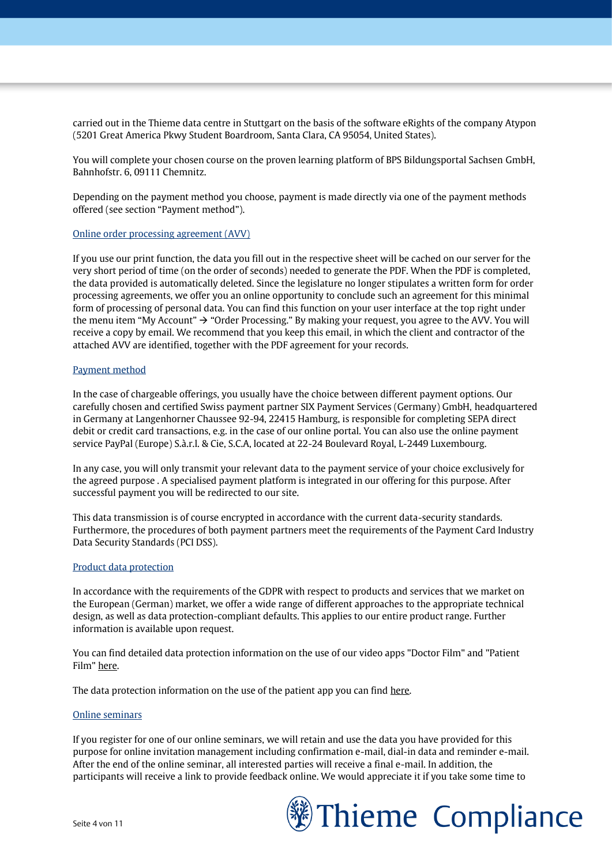carried out in the Thieme data centre in Stuttgart on the basis of the software eRights of the company Atypon (5201 Great America Pkwy Student Boardroom, Santa Clara, CA 95054, United States).

You will complete your chosen course on the proven learning platform of BPS Bildungsportal Sachsen GmbH, Bahnhofstr. 6, 09111 Chemnitz.

Depending on the payment method you choose, payment is made directly via one of the payment methods offered (see section "Payment method").

### Online order processing agreement (AVV)

If you use our print function, the data you fill out in the respective sheet will be cached on our server for the very short period of time (on the order of seconds) needed to generate the PDF. When the PDF is completed, the data provided is automatically deleted. Since the legislature no longer stipulates a written form for order processing agreements, we offer you an online opportunity to conclude such an agreement for this minimal form of processing of personal data. You can find this function on your user interface at the top right under the menu item "My Account" → "Order Processing." By making your request, you agree to the AVV. You will receive a copy by email. We recommend that you keep this email, in which the client and contractor of the attached AVV are identified, together with the PDF agreement for your records.

#### Payment method

In the case of chargeable offerings, you usually have the choice between different payment options. Our carefully chosen and certified Swiss payment partner SIX Payment Services (Germany) GmbH, headquartered in Germany at Langenhorner Chaussee 92-94, 22415 Hamburg, is responsible for completing SEPA direct debit or credit card transactions, e.g. in the case of our online portal. You can also use the online payment service PayPal (Europe) S.à.r.l. & Cie, S.C.A, located at 22-24 Boulevard Royal, L-2449 Luxembourg.

In any case, you will only transmit your relevant data to the payment service of your choice exclusively for the agreed purpose . A specialised payment platform is integrated in our offering for this purpose. After successful payment you will be redirected to our site.

This data transmission is of course encrypted in accordance with the current data-security standards. Furthermore, the procedures of both payment partners meet the requirements of the Payment Card Industry Data Security Standards (PCI DSS).

#### Product data protection

In accordance with the requirements of the GDPR with respect to products and services that we market on the European (German) market, we offer a wide range of different approaches to the appropriate technical design, as well as data protection-compliant defaults. This applies to our entire product range. Further information is available upon request.

You can find detailed data protection information on the use of our video apps "Doctor Film" and "Patient Film[" here.](https://thieme-compliance.de/en/data-privacy/data-protection-information-video-apps/)

The data protection information on the use of the patient app you can fin[d here.](https://thieme-compliance.de/en/data-privacy/data-protection-information-patient-app/)

#### Online seminars

If you register for one of our online seminars, we will retain and use the data you have provided for this purpose for online invitation management including confirmation e-mail, dial-in data and reminder e-mail. After the end of the online seminar, all interested parties will receive a final e-mail. In addition, the participants will receive a link to provide feedback online. We would appreciate it if you take some time to

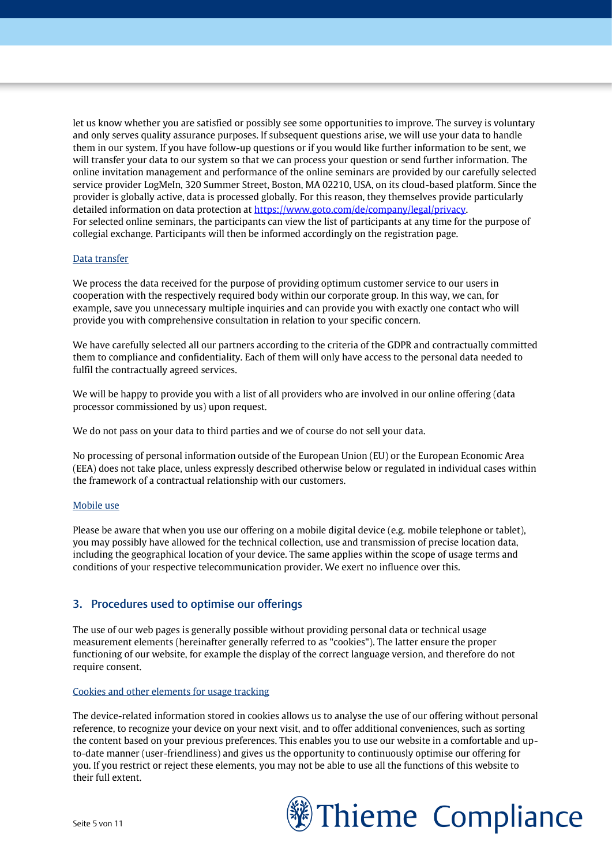let us know whether you are satisfied or possibly see some opportunities to improve. The survey is voluntary and only serves quality assurance purposes. If subsequent questions arise, we will use your data to handle them in our system. If you have follow-up questions or if you would like further information to be sent, we will transfer your data to our system so that we can process your question or send further information. The online invitation management and performance of the online seminars are provided by our carefully selected service provider LogMeIn, 320 Summer Street, Boston, MA 02210, USA, on its cloud-based platform. Since the provider is globally active, data is processed globally. For this reason, they themselves provide particularly detailed information on data protection at [https://www.goto.com/de/company/legal/privacy.](https://www.goto.com/de/company/legal/privacy) For selected online seminars, the participants can view the list of participants at any time for the purpose of collegial exchange. Participants will then be informed accordingly on the registration page.

## Data transfer

We process the data received for the purpose of providing optimum customer service to our users in cooperation with the respectively required body within our corporate group. In this way, we can, for example, save you unnecessary multiple inquiries and can provide you with exactly one contact who will provide you with comprehensive consultation in relation to your specific concern.

We have carefully selected all our partners according to the criteria of the GDPR and contractually committed them to compliance and confidentiality. Each of them will only have access to the personal data needed to fulfil the contractually agreed services.

We will be happy to provide you with a list of all providers who are involved in our online offering (data processor commissioned by us) upon request.

We do not pass on your data to third parties and we of course do not sell your data.

No processing of personal information outside of the European Union (EU) or the European Economic Area (EEA) does not take place, unless expressly described otherwise below or regulated in individual cases within the framework of a contractual relationship with our customers.

## Mobile use

Please be aware that when you use our offering on a mobile digital device (e.g. mobile telephone or tablet), you may possibly have allowed for the technical collection, use and transmission of precise location data, including the geographical location of your device. The same applies within the scope of usage terms and conditions of your respective telecommunication provider. We exert no influence over this.

## <span id="page-4-0"></span>3. Procedures used to optimise our offerings

The use of our web pages is generally possible without providing personal data or technical usage measurement elements (hereinafter generally referred to as "cookies"). The latter ensure the proper functioning of our website, for example the display of the correct language version, and therefore do not require consent.

#### Cookies and other elements for usage tracking

The device-related information stored in cookies allows us to analyse the use of our offering without personal reference, to recognize your device on your next visit, and to offer additional conveniences, such as sorting the content based on your previous preferences. This enables you to use our website in a comfortable and upto-date manner (user-friendliness) and gives us the opportunity to continuously optimise our offering for you. If you restrict or reject these elements, you may not be able to use all the functions of this website to their full extent.

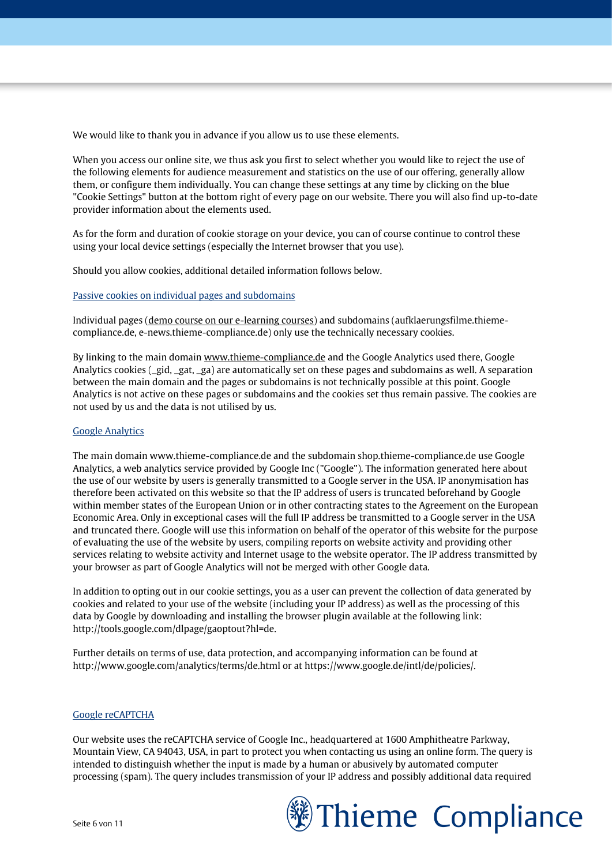We would like to thank you in advance if you allow us to use these elements.

When you access our online site, we thus ask you first to select whether you would like to reject the use of the following elements for audience measurement and statistics on the use of our offering, generally allow them, or configure them individually. You can change these settings at any time by clicking on the blue "Cookie Settings" button at the bottom right of every page on our website. There you will also find up-to-date provider information about the elements used.

As for the form and duration of cookie storage on your device, you can of course continue to control these using your local device settings (especially the Internet browser that you use).

Should you allow cookies, additional detailed information follows below.

#### Passive cookies on individual pages and subdomains

Individual pages [\(demo course on our e-learning courses\)](https://thieme-compliance.de/fileadmin/user_upload/E-Learning/Demo-Kurs/#/) and subdomains (aufklaerungsfilme.thiemecompliance.de, e-news.thieme-compliance.de) only use the technically necessary cookies.

By linking to the main domai[n www.thieme-compliance.de](http://www.thieme-compliance.de/) and the Google Analytics used there, Google Analytics cookies (\_gid, \_gat, \_ga) are automatically set on these pages and subdomains as well. A separation between the main domain and the pages or subdomains is not technically possible at this point. Google Analytics is not active on these pages or subdomains and the cookies set thus remain passive. The cookies are not used by us and the data is not utilised by us.

#### Google Analytics

The main domain www.thieme-compliance.de and the subdomain shop.thieme-compliance.de use Google Analytics, a web analytics service provided by Google Inc ("Google"). The information generated here about the use of our website by users is generally transmitted to a Google server in the USA. IP anonymisation has therefore been activated on this website so that the IP address of users is truncated beforehand by Google within member states of the European Union or in other contracting states to the Agreement on the European Economic Area. Only in exceptional cases will the full IP address be transmitted to a Google server in the USA and truncated there. Google will use this information on behalf of the operator of this website for the purpose of evaluating the use of the website by users, compiling reports on website activity and providing other services relating to website activity and Internet usage to the website operator. The IP address transmitted by your browser as part of Google Analytics will not be merged with other Google data.

In addition to opting out in our cookie settings, you as a user can prevent the collection of data generated by cookies and related to your use of the website (including your IP address) as well as the processing of this data by Google by downloading and installing the browser plugin available at the following link: http://tools.google.com/dlpage/gaoptout?hl=de.

Further details on terms of use, data protection, and accompanying information can be found at http://www.google.com/analytics/terms/de.html or at https://www.google.de/intl/de/policies/.

#### Google reCAPTCHA

Our website uses the reCAPTCHA service of Google Inc., headquartered at 1600 Amphitheatre Parkway, Mountain View, CA 94043, USA, in part to protect you when contacting us using an online form. The query is intended to distinguish whether the input is made by a human or abusively by automated computer processing (spam). The query includes transmission of your IP address and possibly additional data required

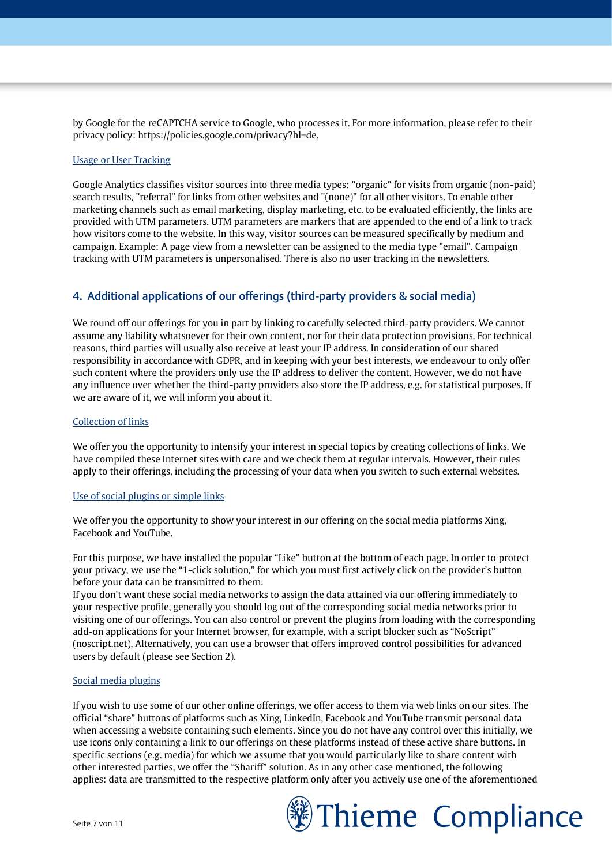by Google for the reCAPTCHA service to Google, who processes it. For more information, please refer to their privacy policy[: https://policies.google.com/privacy?hl=de.](https://policies.google.com/privacy?hl=de)

### Usage or User Tracking

Google Analytics classifies visitor sources into three media types: "organic" for visits from organic (non-paid) search results, "referral" for links from other websites and "(none)" for all other visitors. To enable other marketing channels such as email marketing, display marketing, etc. to be evaluated efficiently, the links are provided with UTM parameters. UTM parameters are markers that are appended to the end of a link to track how visitors come to the website. In this way, visitor sources can be measured specifically by medium and campaign. Example: A page view from a newsletter can be assigned to the media type "email". Campaign tracking with UTM parameters is unpersonalised. There is also no user tracking in the newsletters.

## <span id="page-6-0"></span>4. Additional applications of our offerings (third-party providers & social media)

We round off our offerings for you in part by linking to carefully selected third-party providers. We cannot assume any liability whatsoever for their own content, nor for their data protection provisions. For technical reasons, third parties will usually also receive at least your IP address. In consideration of our shared responsibility in accordance with GDPR, and in keeping with your best interests, we endeavour to only offer such content where the providers only use the IP address to deliver the content. However, we do not have any influence over whether the third-party providers also store the IP address, e.g. for statistical purposes. If we are aware of it, we will inform you about it.

## Collection of links

We offer you the opportunity to intensify your interest in special topics by creating collections of links. We have compiled these Internet sites with care and we check them at regular intervals. However, their rules apply to their offerings, including the processing of your data when you switch to such external websites.

## Use of social plugins or simple links

We offer you the opportunity to show your interest in our offering on the social media platforms Xing, Facebook and YouTube.

For this purpose, we have installed the popular "Like" button at the bottom of each page. In order to protect your privacy, we use the "1-click solution," for which you must first actively click on the provider's button before your data can be transmitted to them.

If you don't want these social media networks to assign the data attained via our offering immediately to your respective profile, generally you should log out of the corresponding social media networks prior to visiting one of our offerings. You can also control or prevent the plugins from loading with the corresponding add-on applications for your Internet browser, for example, with a script blocker such as "NoScript" (noscript.net). Alternatively, you can use a browser that offers improved control possibilities for advanced users by default (please see Section 2).

## Social media plugins

If you wish to use some of our other online offerings, we offer access to them via web links on our sites. The official "share" buttons of platforms such as Xing, LinkedIn, Facebook and YouTube transmit personal data when accessing a website containing such elements. Since you do not have any control over this initially, we use icons only containing a link to our offerings on these platforms instead of these active share buttons. In specific sections (e.g. media) for which we assume that you would particularly like to share content with other interested parties, we offer the "Shariff" solution. As in any other case mentioned, the following applies: data are transmitted to the respective platform only after you actively use one of the aforementioned

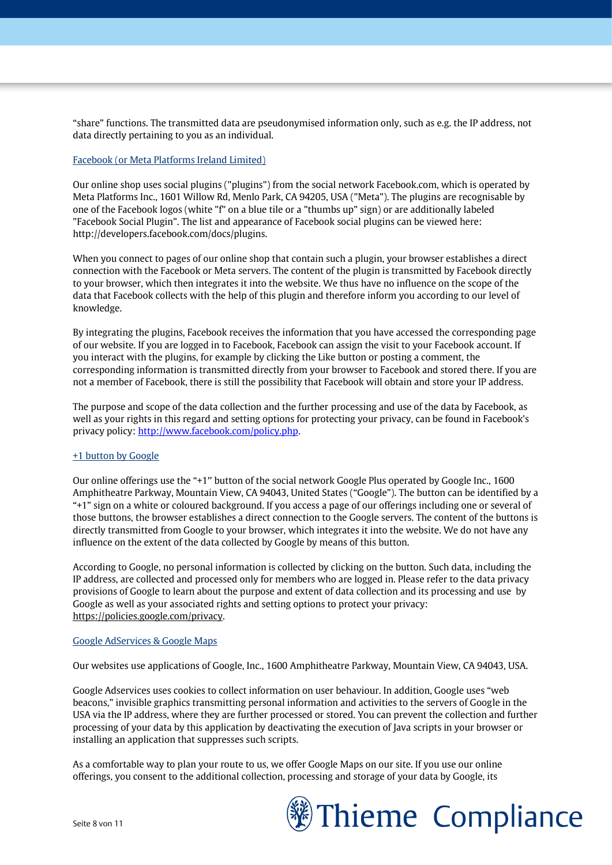"share" functions. The transmitted data are pseudonymised information only, such as e.g. the IP address, not data directly pertaining to you as an individual.

## Facebook (or Meta Platforms Ireland Limited)

Our online shop uses social plugins ("plugins") from the social network Facebook.com, which is operated by Meta Platforms Inc., 1601 Willow Rd, Menlo Park, CA 94205, USA ("Meta"). The plugins are recognisable by one of the Facebook logos (white "f" on a blue tile or a "thumbs up" sign) or are additionally labeled "Facebook Social Plugin". The list and appearance of Facebook social plugins can be viewed here: http://developers.facebook.com/docs/plugins.

When you connect to pages of our online shop that contain such a plugin, your browser establishes a direct connection with the Facebook or Meta servers. The content of the plugin is transmitted by Facebook directly to your browser, which then integrates it into the website. We thus have no influence on the scope of the data that Facebook collects with the help of this plugin and therefore inform you according to our level of knowledge.

By integrating the plugins, Facebook receives the information that you have accessed the corresponding page of our website. If you are logged in to Facebook, Facebook can assign the visit to your Facebook account. If you interact with the plugins, for example by clicking the Like button or posting a comment, the corresponding information is transmitted directly from your browser to Facebook and stored there. If you are not a member of Facebook, there is still the possibility that Facebook will obtain and store your IP address.

The purpose and scope of the data collection and the further processing and use of the data by Facebook, as well as your rights in this regard and setting options for protecting your privacy, can be found in Facebook's privacy policy[: http://www.facebook.com/policy.php.](http://www.facebook.com/policy.php)

## +1 button by Google

Our online offerings use the "+1′′ button of the social network Google Plus operated by Google Inc., 1600 Amphitheatre Parkway, Mountain View, CA 94043, United States ("Google"). The button can be identified by a "+1" sign on a white or coloured background. If you access a page of our offerings including one or several of those buttons, the browser establishes a direct connection to the Google servers. The content of the buttons is directly transmitted from Google to your browser, which integrates it into the website. We do not have any influence on the extent of the data collected by Google by means of this button.

According to Google, no personal information is collected by clicking on the button. Such data, including the IP address, are collected and processed only for members who are logged in. Please refer to the data privacy provisions of Google to learn about the purpose and extent of data collection and its processing and use by Google as well as your associated rights and setting options to protect your privacy: [https://policies.google.com/privacy.](https://policies.google.com/privacy) 

## Google AdServices & Google Maps

Our websites use applications of Google, Inc., 1600 Amphitheatre Parkway, Mountain View, CA 94043, USA.

Google Adservices uses cookies to collect information on user behaviour. In addition, Google uses "web beacons," invisible graphics transmitting personal information and activities to the servers of Google in the USA via the IP address, where they are further processed or stored. You can prevent the collection and further processing of your data by this application by deactivating the execution of Java scripts in your browser or installing an application that suppresses such scripts.

As a comfortable way to plan your route to us, we offer Google Maps on our site. If you use our online offerings, you consent to the additional collection, processing and storage of your data by Google, its

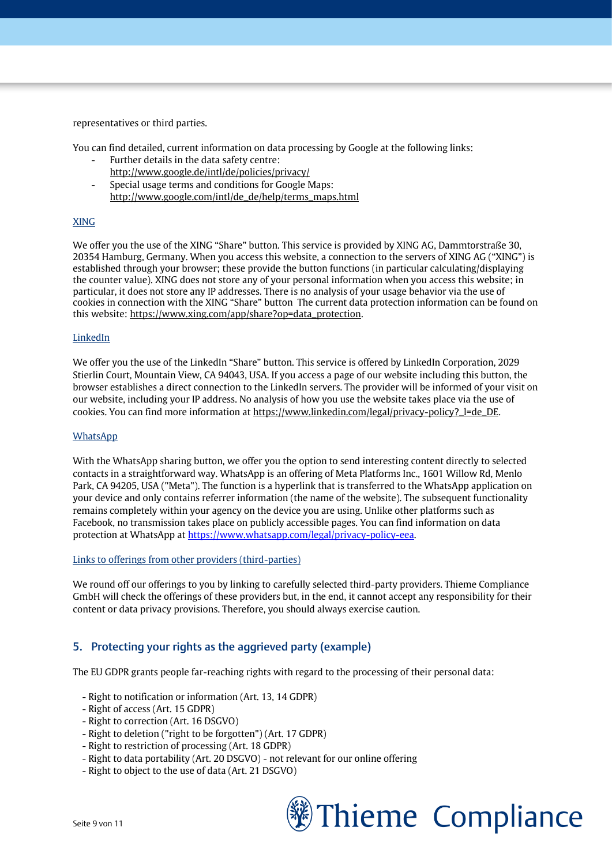representatives or third parties.

You can find detailed, current information on data processing by Google at the following links:

- Further details in the data safety centre: <http://www.google.de/intl/de/policies/privacy/>
- Special usage terms and conditions for Google Maps: [http://www.google.com/intl/de\\_de/help/terms\\_maps.html](http://www.google.com/intl/de_de/help/terms_maps.html)

## XING

We offer you the use of the XING "Share" button. This service is provided by XING AG, Dammtorstraße 30, 20354 Hamburg, Germany. When you access this website, a connection to the servers of XING AG ("XING") is established through your browser; these provide the button functions (in particular calculating/displaying the counter value). XING does not store any of your personal information when you access this website; in particular, it does not store any IP addresses. There is no analysis of your usage behavior via the use of cookies in connection with the XING "Share" button The current data protection information can be found on this website[: https://www.xing.com/app/share?op=data\\_protection.](https://www.xing.com/app/share?op=data_protection)

## LinkedIn

We offer you the use of the LinkedIn "Share" button. This service is offered by LinkedIn Corporation, 2029 Stierlin Court, Mountain View, CA 94043, USA. If you access a page of our website including this button, the browser establishes a direct connection to the LinkedIn servers. The provider will be informed of your visit on our website, including your IP address. No analysis of how you use the website takes place via the use of cookies. You can find more information at [https://www.linkedin.com/legal/privacy-policy?\\_l=de\\_DE.](https://www.linkedin.com/legal/privacy-policy?_l=de_DE)

## WhatsApp

With the WhatsApp sharing button, we offer you the option to send interesting content directly to selected contacts in a straightforward way. WhatsApp is an offering of Meta Platforms Inc., 1601 Willow Rd, Menlo Park, CA 94205, USA ("Meta"). The function is a hyperlink that is transferred to the WhatsApp application on your device and only contains referrer information (the name of the website). The subsequent functionality remains completely within your agency on the device you are using. Unlike other platforms such as Facebook, no transmission takes place on publicly accessible pages. You can find information on data protection at WhatsApp a[t https://www.whatsapp.com/legal/privacy-policy-eea.](https://www.whatsapp.com/legal/privacy-policy-eea)

## Links to offerings from other providers (third-parties)

We round off our offerings to you by linking to carefully selected third-party providers. Thieme Compliance GmbH will check the offerings of these providers but, in the end, it cannot accept any responsibility for their content or data privacy provisions. Therefore, you should always exercise caution.

## <span id="page-8-0"></span>5. Protecting your rights as the aggrieved party (example)

The EU GDPR grants people far-reaching rights with regard to the processing of their personal data:

- Right to notification or information (Art. 13, 14 GDPR)
- Right of access (Art. 15 GDPR)
- Right to correction (Art. 16 DSGVO)
- Right to deletion ("right to be forgotten") (Art. 17 GDPR)
- Right to restriction of processing (Art. 18 GDPR)
- Right to data portability (Art. 20 DSGVO) not relevant for our online offering
- Right to object to the use of data (Art. 21 DSGVO)

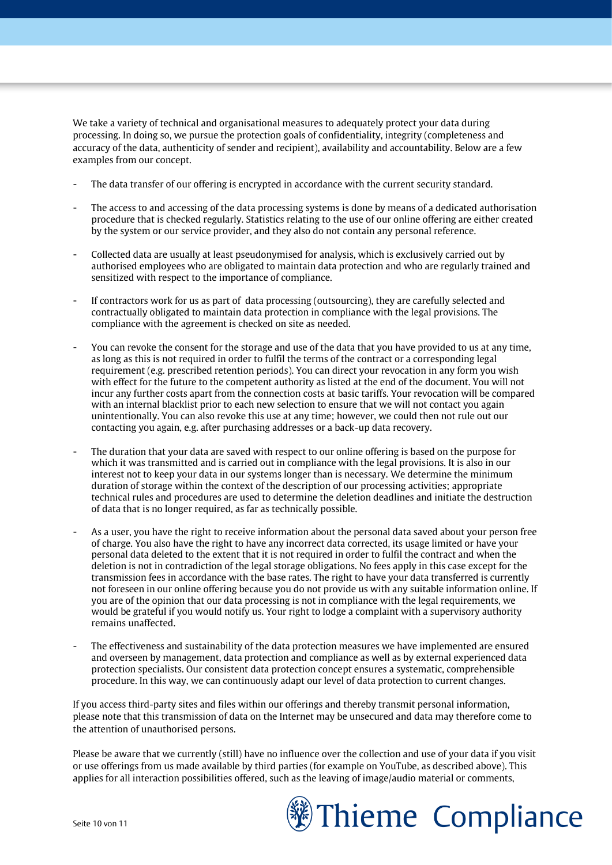We take a variety of technical and organisational measures to adequately protect your data during processing. In doing so, we pursue the protection goals of confidentiality, integrity (completeness and accuracy of the data, authenticity of sender and recipient), availability and accountability. Below are a few examples from our concept.

- The data transfer of our offering is encrypted in accordance with the current security standard.
- The access to and accessing of the data processing systems is done by means of a dedicated authorisation procedure that is checked regularly. Statistics relating to the use of our online offering are either created by the system or our service provider, and they also do not contain any personal reference.
- Collected data are usually at least pseudonymised for analysis, which is exclusively carried out by authorised employees who are obligated to maintain data protection and who are regularly trained and sensitized with respect to the importance of compliance.
- If contractors work for us as part of data processing (outsourcing), they are carefully selected and contractually obligated to maintain data protection in compliance with the legal provisions. The compliance with the agreement is checked on site as needed.
- You can revoke the consent for the storage and use of the data that you have provided to us at any time, as long as this is not required in order to fulfil the terms of the contract or a corresponding legal requirement (e.g. prescribed retention periods). You can direct your revocation in any form you wish with effect for the future to the competent authority as listed at the end of the document. You will not incur any further costs apart from the connection costs at basic tariffs. Your revocation will be compared with an internal blacklist prior to each new selection to ensure that we will not contact you again unintentionally. You can also revoke this use at any time; however, we could then not rule out our contacting you again, e.g. after purchasing addresses or a back-up data recovery.
- The duration that your data are saved with respect to our online offering is based on the purpose for which it was transmitted and is carried out in compliance with the legal provisions. It is also in our interest not to keep your data in our systems longer than is necessary. We determine the minimum duration of storage within the context of the description of our processing activities; appropriate technical rules and procedures are used to determine the deletion deadlines and initiate the destruction of data that is no longer required, as far as technically possible.
- As a user, you have the right to receive information about the personal data saved about your person free of charge. You also have the right to have any incorrect data corrected, its usage limited or have your personal data deleted to the extent that it is not required in order to fulfil the contract and when the deletion is not in contradiction of the legal storage obligations. No fees apply in this case except for the transmission fees in accordance with the base rates. The right to have your data transferred is currently not foreseen in our online offering because you do not provide us with any suitable information online. If you are of the opinion that our data processing is not in compliance with the legal requirements, we would be grateful if you would notify us. Your right to lodge a complaint with a supervisory authority remains unaffected.
- The effectiveness and sustainability of the data protection measures we have implemented are ensured and overseen by management, data protection and compliance as well as by external experienced data protection specialists. Our consistent data protection concept ensures a systematic, comprehensible procedure. In this way, we can continuously adapt our level of data protection to current changes.

If you access third-party sites and files within our offerings and thereby transmit personal information, please note that this transmission of data on the Internet may be unsecured and data may therefore come to the attention of unauthorised persons.

Please be aware that we currently (still) have no influence over the collection and use of your data if you visit or use offerings from us made available by third parties (for example on YouTube, as described above). This applies for all interaction possibilities offered, such as the leaving of image/audio material or comments,